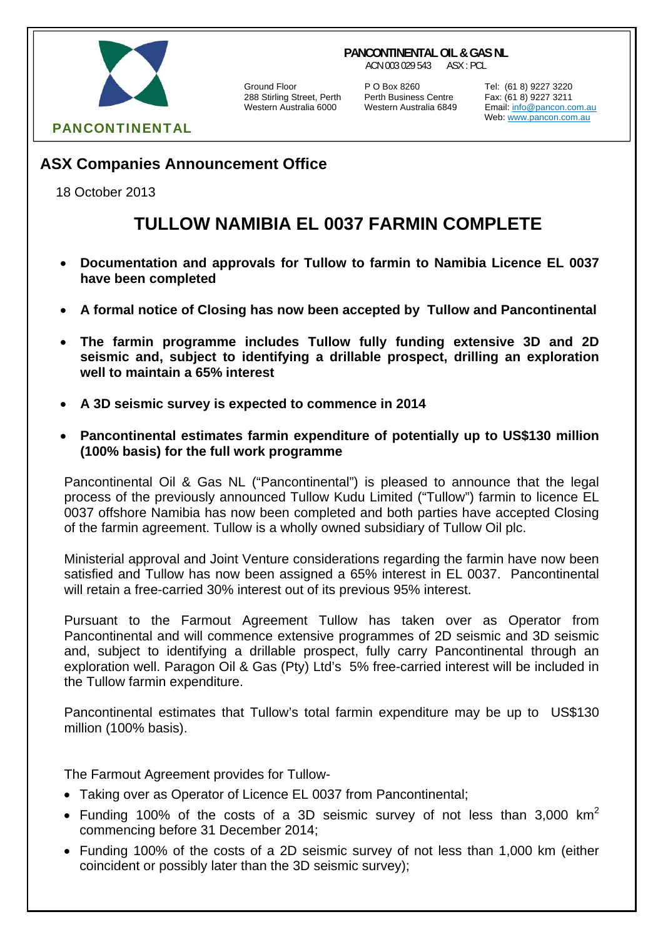# PANCONTINENTAL

Ground Floor P O Box 8260 Tel: (61 8) 9227 3220

288 Stirling Street, Perth Perth Business Centre Fax: (61 8) 9227 3211

**PANCONTINENTAL OIL & GAS NL** ACN 003 029 543 ASX : PCL

> Email: info@pancon.com.au Web: www.pancon.com.au

## **ASX Companies Announcement Office**

18 October 2013

# **TULLOW NAMIBIA EL 0037 FARMIN COMPLETE**

- **Documentation and approvals for Tullow to farmin to Namibia Licence EL 0037 have been completed**
- **A formal notice of Closing has now been accepted by Tullow and Pancontinental**
- **The farmin programme includes Tullow fully funding extensive 3D and 2D seismic and, subject to identifying a drillable prospect, drilling an exploration well to maintain a 65% interest**
- **A 3D seismic survey is expected to commence in 2014**
- **Pancontinental estimates farmin expenditure of potentially up to US\$130 million (100% basis) for the full work programme**

Pancontinental Oil & Gas NL ("Pancontinental") is pleased to announce that the legal process of the previously announced Tullow Kudu Limited ("Tullow") farmin to licence EL 0037 offshore Namibia has now been completed and both parties have accepted Closing of the farmin agreement. Tullow is a wholly owned subsidiary of Tullow Oil plc.

Ministerial approval and Joint Venture considerations regarding the farmin have now been satisfied and Tullow has now been assigned a 65% interest in EL 0037. Pancontinental will retain a free-carried 30% interest out of its previous 95% interest.

Pursuant to the Farmout Agreement Tullow has taken over as Operator from Pancontinental and will commence extensive programmes of 2D seismic and 3D seismic and, subject to identifying a drillable prospect, fully carry Pancontinental through an exploration well. Paragon Oil & Gas (Pty) Ltd's 5% free-carried interest will be included in the Tullow farmin expenditure.

Pancontinental estimates that Tullow's total farmin expenditure may be up to US\$130 million (100% basis).

The Farmout Agreement provides for Tullow-

- Taking over as Operator of Licence EL 0037 from Pancontinental;
- Funding 100% of the costs of a 3D seismic survey of not less than 3,000 km<sup>2</sup> commencing before 31 December 2014;
- Funding 100% of the costs of a 2D seismic survey of not less than 1,000 km (either coincident or possibly later than the 3D seismic survey);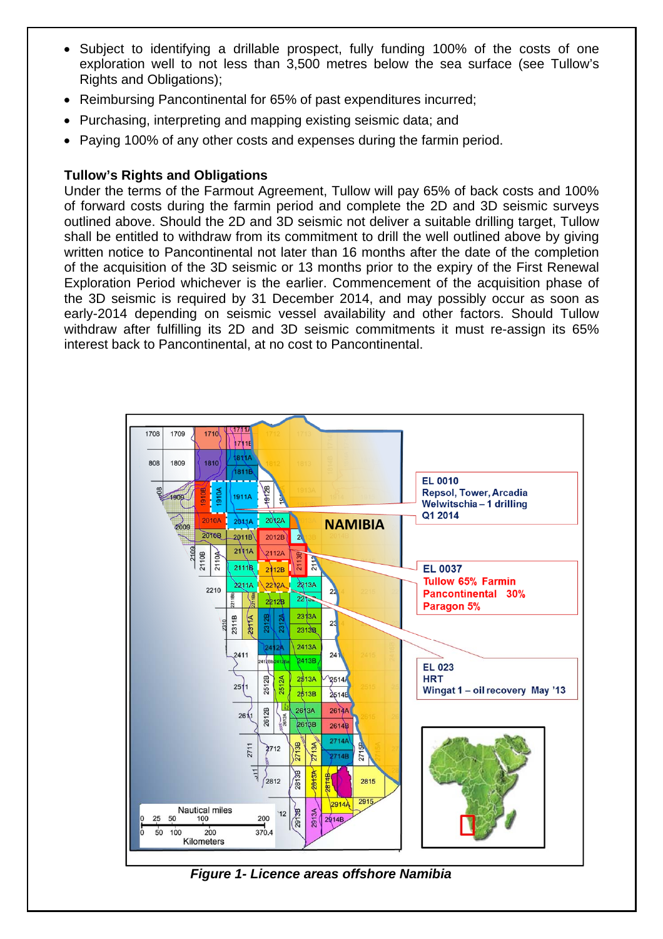- Subject to identifying a drillable prospect, fully funding 100% of the costs of one exploration well to not less than 3,500 metres below the sea surface (see Tullow's Rights and Obligations);
- Reimbursing Pancontinental for 65% of past expenditures incurred;
- Purchasing, interpreting and mapping existing seismic data; and
- Paying 100% of any other costs and expenses during the farmin period.

### **Tullow's Rights and Obligations**

Under the terms of the Farmout Agreement, Tullow will pay 65% of back costs and 100% of forward costs during the farmin period and complete the 2D and 3D seismic surveys outlined above. Should the 2D and 3D seismic not deliver a suitable drilling target, Tullow shall be entitled to withdraw from its commitment to drill the well outlined above by giving written notice to Pancontinental not later than 16 months after the date of the completion of the acquisition of the 3D seismic or 13 months prior to the expiry of the First Renewal Exploration Period whichever is the earlier. Commencement of the acquisition phase of the 3D seismic is required by 31 December 2014, and may possibly occur as soon as early-2014 depending on seismic vessel availability and other factors. Should Tullow withdraw after fulfilling its 2D and 3D seismic commitments it must re-assign its 65% interest back to Pancontinental, at no cost to Pancontinental.



### *Figure 1- Licence areas offshore Namibia*